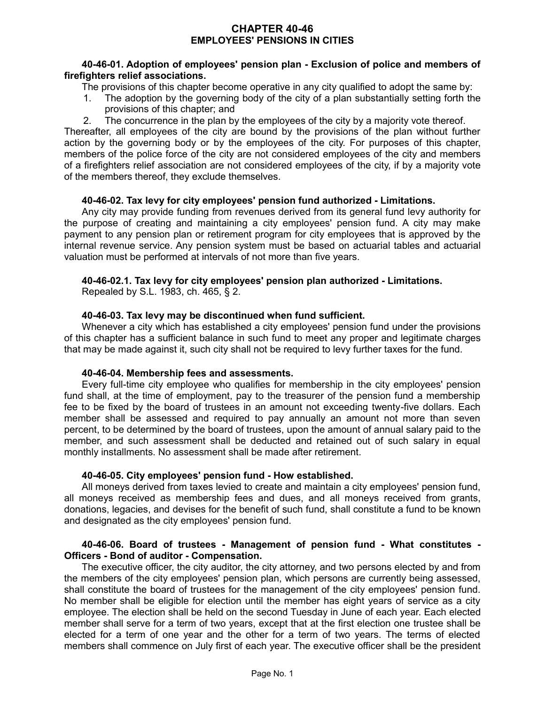# **CHAPTER 40-46 EMPLOYEES' PENSIONS IN CITIES**

### **40-46-01. Adoption of employees' pension plan - Exclusion of police and members of firefighters relief associations.**

The provisions of this chapter become operative in any city qualified to adopt the same by:

- 1. The adoption by the governing body of the city of a plan substantially setting forth the provisions of this chapter; and
- 2. The concurrence in the plan by the employees of the city by a majority vote thereof.

Thereafter, all employees of the city are bound by the provisions of the plan without further action by the governing body or by the employees of the city. For purposes of this chapter, members of the police force of the city are not considered employees of the city and members of a firefighters relief association are not considered employees of the city, if by a majority vote of the members thereof, they exclude themselves.

### **40-46-02. Tax levy for city employees' pension fund authorized - Limitations.**

Any city may provide funding from revenues derived from its general fund levy authority for the purpose of creating and maintaining a city employees' pension fund. A city may make payment to any pension plan or retirement program for city employees that is approved by the internal revenue service. Any pension system must be based on actuarial tables and actuarial valuation must be performed at intervals of not more than five years.

# **40-46-02.1. Tax levy for city employees' pension plan authorized - Limitations.**

Repealed by S.L. 1983, ch. 465, § 2.

### **40-46-03. Tax levy may be discontinued when fund sufficient.**

Whenever a city which has established a city employees' pension fund under the provisions of this chapter has a sufficient balance in such fund to meet any proper and legitimate charges that may be made against it, such city shall not be required to levy further taxes for the fund.

# **40-46-04. Membership fees and assessments.**

Every full-time city employee who qualifies for membership in the city employees' pension fund shall, at the time of employment, pay to the treasurer of the pension fund a membership fee to be fixed by the board of trustees in an amount not exceeding twenty-five dollars. Each member shall be assessed and required to pay annually an amount not more than seven percent, to be determined by the board of trustees, upon the amount of annual salary paid to the member, and such assessment shall be deducted and retained out of such salary in equal monthly installments. No assessment shall be made after retirement.

#### **40-46-05. City employees' pension fund - How established.**

All moneys derived from taxes levied to create and maintain a city employees' pension fund, all moneys received as membership fees and dues, and all moneys received from grants, donations, legacies, and devises for the benefit of such fund, shall constitute a fund to be known and designated as the city employees' pension fund.

#### **40-46-06. Board of trustees - Management of pension fund - What constitutes - Officers - Bond of auditor - Compensation.**

The executive officer, the city auditor, the city attorney, and two persons elected by and from the members of the city employees' pension plan, which persons are currently being assessed, shall constitute the board of trustees for the management of the city employees' pension fund. No member shall be eligible for election until the member has eight years of service as a city employee. The election shall be held on the second Tuesday in June of each year. Each elected member shall serve for a term of two years, except that at the first election one trustee shall be elected for a term of one year and the other for a term of two years. The terms of elected members shall commence on July first of each year. The executive officer shall be the president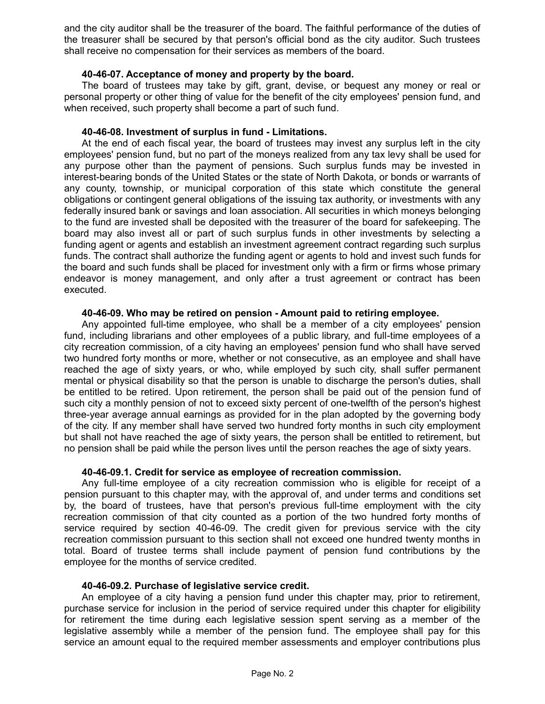and the city auditor shall be the treasurer of the board. The faithful performance of the duties of the treasurer shall be secured by that person's official bond as the city auditor. Such trustees shall receive no compensation for their services as members of the board.

### **40-46-07. Acceptance of money and property by the board.**

The board of trustees may take by gift, grant, devise, or bequest any money or real or personal property or other thing of value for the benefit of the city employees' pension fund, and when received, such property shall become a part of such fund.

### **40-46-08. Investment of surplus in fund - Limitations.**

At the end of each fiscal year, the board of trustees may invest any surplus left in the city employees' pension fund, but no part of the moneys realized from any tax levy shall be used for any purpose other than the payment of pensions. Such surplus funds may be invested in interest-bearing bonds of the United States or the state of North Dakota, or bonds or warrants of any county, township, or municipal corporation of this state which constitute the general obligations or contingent general obligations of the issuing tax authority, or investments with any federally insured bank or savings and loan association. All securities in which moneys belonging to the fund are invested shall be deposited with the treasurer of the board for safekeeping. The board may also invest all or part of such surplus funds in other investments by selecting a funding agent or agents and establish an investment agreement contract regarding such surplus funds. The contract shall authorize the funding agent or agents to hold and invest such funds for the board and such funds shall be placed for investment only with a firm or firms whose primary endeavor is money management, and only after a trust agreement or contract has been executed.

### **40-46-09. Who may be retired on pension - Amount paid to retiring employee.**

Any appointed full-time employee, who shall be a member of a city employees' pension fund, including librarians and other employees of a public library, and full-time employees of a city recreation commission, of a city having an employees' pension fund who shall have served two hundred forty months or more, whether or not consecutive, as an employee and shall have reached the age of sixty years, or who, while employed by such city, shall suffer permanent mental or physical disability so that the person is unable to discharge the person's duties, shall be entitled to be retired. Upon retirement, the person shall be paid out of the pension fund of such city a monthly pension of not to exceed sixty percent of one-twelfth of the person's highest three-year average annual earnings as provided for in the plan adopted by the governing body of the city. If any member shall have served two hundred forty months in such city employment but shall not have reached the age of sixty years, the person shall be entitled to retirement, but no pension shall be paid while the person lives until the person reaches the age of sixty years.

#### **40-46-09.1. Credit for service as employee of recreation commission.**

Any full-time employee of a city recreation commission who is eligible for receipt of a pension pursuant to this chapter may, with the approval of, and under terms and conditions set by, the board of trustees, have that person's previous full-time employment with the city recreation commission of that city counted as a portion of the two hundred forty months of service required by section 40-46-09. The credit given for previous service with the city recreation commission pursuant to this section shall not exceed one hundred twenty months in total. Board of trustee terms shall include payment of pension fund contributions by the employee for the months of service credited.

#### **40-46-09.2. Purchase of legislative service credit.**

An employee of a city having a pension fund under this chapter may, prior to retirement, purchase service for inclusion in the period of service required under this chapter for eligibility for retirement the time during each legislative session spent serving as a member of the legislative assembly while a member of the pension fund. The employee shall pay for this service an amount equal to the required member assessments and employer contributions plus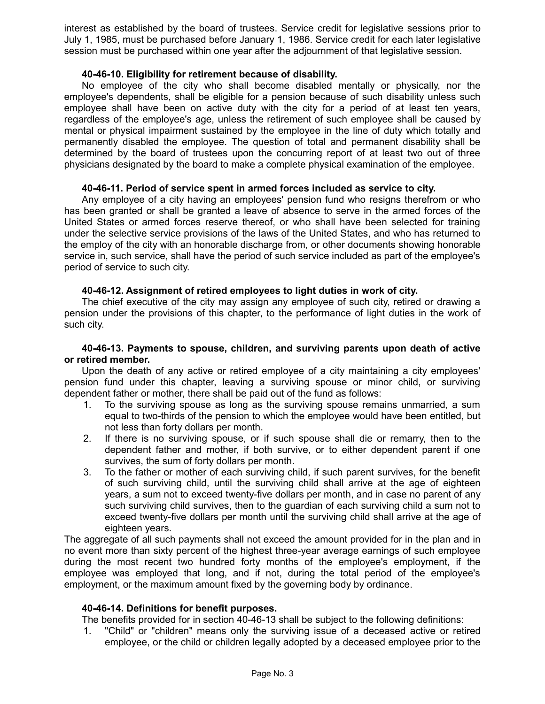interest as established by the board of trustees. Service credit for legislative sessions prior to July 1, 1985, must be purchased before January 1, 1986. Service credit for each later legislative session must be purchased within one year after the adjournment of that legislative session.

### **40-46-10. Eligibility for retirement because of disability.**

No employee of the city who shall become disabled mentally or physically, nor the employee's dependents, shall be eligible for a pension because of such disability unless such employee shall have been on active duty with the city for a period of at least ten years, regardless of the employee's age, unless the retirement of such employee shall be caused by mental or physical impairment sustained by the employee in the line of duty which totally and permanently disabled the employee. The question of total and permanent disability shall be determined by the board of trustees upon the concurring report of at least two out of three physicians designated by the board to make a complete physical examination of the employee.

# **40-46-11. Period of service spent in armed forces included as service to city.**

Any employee of a city having an employees' pension fund who resigns therefrom or who has been granted or shall be granted a leave of absence to serve in the armed forces of the United States or armed forces reserve thereof, or who shall have been selected for training under the selective service provisions of the laws of the United States, and who has returned to the employ of the city with an honorable discharge from, or other documents showing honorable service in, such service, shall have the period of such service included as part of the employee's period of service to such city.

# **40-46-12. Assignment of retired employees to light duties in work of city.**

The chief executive of the city may assign any employee of such city, retired or drawing a pension under the provisions of this chapter, to the performance of light duties in the work of such city.

#### **40-46-13. Payments to spouse, children, and surviving parents upon death of active or retired member.**

Upon the death of any active or retired employee of a city maintaining a city employees' pension fund under this chapter, leaving a surviving spouse or minor child, or surviving dependent father or mother, there shall be paid out of the fund as follows:

- 1. To the surviving spouse as long as the surviving spouse remains unmarried, a sum equal to two-thirds of the pension to which the employee would have been entitled, but not less than forty dollars per month.
- 2. If there is no surviving spouse, or if such spouse shall die or remarry, then to the dependent father and mother, if both survive, or to either dependent parent if one survives, the sum of forty dollars per month.
- 3. To the father or mother of each surviving child, if such parent survives, for the benefit of such surviving child, until the surviving child shall arrive at the age of eighteen years, a sum not to exceed twenty-five dollars per month, and in case no parent of any such surviving child survives, then to the guardian of each surviving child a sum not to exceed twenty-five dollars per month until the surviving child shall arrive at the age of eighteen years.

The aggregate of all such payments shall not exceed the amount provided for in the plan and in no event more than sixty percent of the highest three-year average earnings of such employee during the most recent two hundred forty months of the employee's employment, if the employee was employed that long, and if not, during the total period of the employee's employment, or the maximum amount fixed by the governing body by ordinance.

# **40-46-14. Definitions for benefit purposes.**

The benefits provided for in section 40-46-13 shall be subject to the following definitions:

1. "Child" or "children" means only the surviving issue of a deceased active or retired employee, or the child or children legally adopted by a deceased employee prior to the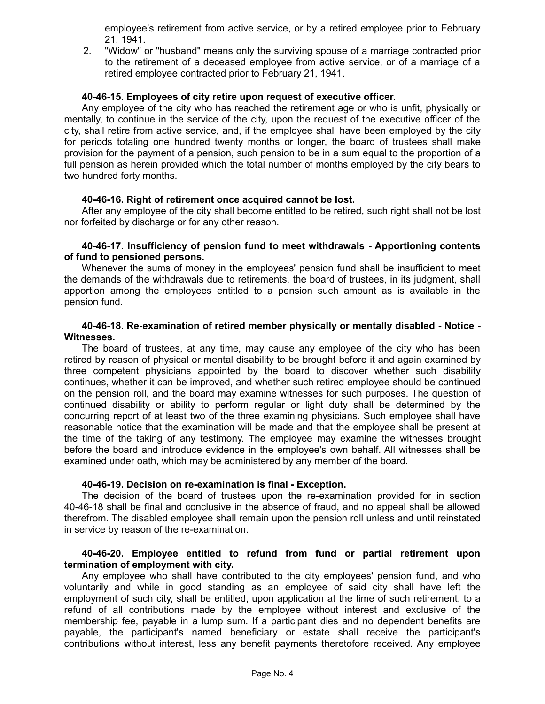employee's retirement from active service, or by a retired employee prior to February 21, 1941.

2. "Widow" or "husband" means only the surviving spouse of a marriage contracted prior to the retirement of a deceased employee from active service, or of a marriage of a retired employee contracted prior to February 21, 1941.

#### **40-46-15. Employees of city retire upon request of executive officer.**

Any employee of the city who has reached the retirement age or who is unfit, physically or mentally, to continue in the service of the city, upon the request of the executive officer of the city, shall retire from active service, and, if the employee shall have been employed by the city for periods totaling one hundred twenty months or longer, the board of trustees shall make provision for the payment of a pension, such pension to be in a sum equal to the proportion of a full pension as herein provided which the total number of months employed by the city bears to two hundred forty months.

### **40-46-16. Right of retirement once acquired cannot be lost.**

After any employee of the city shall become entitled to be retired, such right shall not be lost nor forfeited by discharge or for any other reason.

#### **40-46-17. Insufficiency of pension fund to meet withdrawals - Apportioning contents of fund to pensioned persons.**

Whenever the sums of money in the employees' pension fund shall be insufficient to meet the demands of the withdrawals due to retirements, the board of trustees, in its judgment, shall apportion among the employees entitled to a pension such amount as is available in the pension fund.

#### **40-46-18. Re-examination of retired member physically or mentally disabled - Notice - Witnesses.**

The board of trustees, at any time, may cause any employee of the city who has been retired by reason of physical or mental disability to be brought before it and again examined by three competent physicians appointed by the board to discover whether such disability continues, whether it can be improved, and whether such retired employee should be continued on the pension roll, and the board may examine witnesses for such purposes. The question of continued disability or ability to perform regular or light duty shall be determined by the concurring report of at least two of the three examining physicians. Such employee shall have reasonable notice that the examination will be made and that the employee shall be present at the time of the taking of any testimony. The employee may examine the witnesses brought before the board and introduce evidence in the employee's own behalf. All witnesses shall be examined under oath, which may be administered by any member of the board.

#### **40-46-19. Decision on re-examination is final - Exception.**

The decision of the board of trustees upon the re-examination provided for in section 40-46-18 shall be final and conclusive in the absence of fraud, and no appeal shall be allowed therefrom. The disabled employee shall remain upon the pension roll unless and until reinstated in service by reason of the re-examination.

# **40-46-20. Employee entitled to refund from fund or partial retirement upon termination of employment with city.**

Any employee who shall have contributed to the city employees' pension fund, and who voluntarily and while in good standing as an employee of said city shall have left the employment of such city, shall be entitled, upon application at the time of such retirement, to a refund of all contributions made by the employee without interest and exclusive of the membership fee, payable in a lump sum. If a participant dies and no dependent benefits are payable, the participant's named beneficiary or estate shall receive the participant's contributions without interest, less any benefit payments theretofore received. Any employee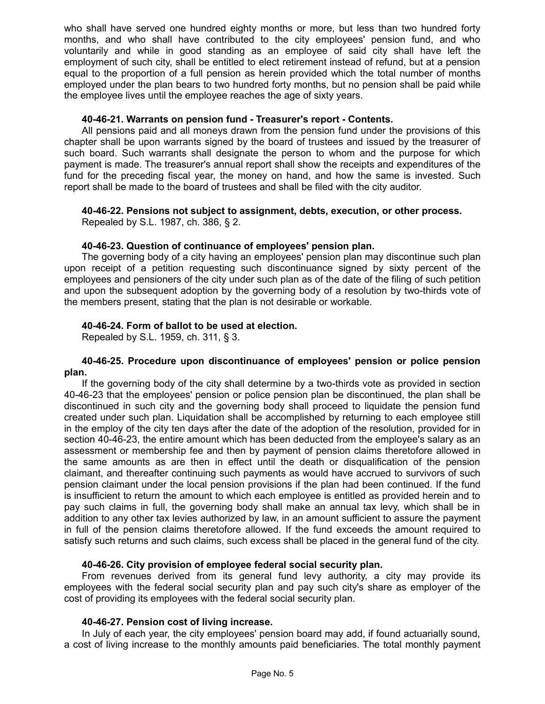who shall have served one hundred eighty months or more, but less than two hundred forty months, and who shall have contributed to the city employees' pension fund, and who voluntarily and while in good standing as an employee of said city shall have left the employment of such city, shall be entitled to elect retirement instead of refund, but at a pension equal to the proportion of a full pension as herein provided which the total number of months employed under the plan bears to two hundred forty months, but no pension shall be paid while the employee lives until the employee reaches the age of sixty years.

### **40-46-21. Warrants on pension fund - Treasurer's report - Contents.**

All pensions paid and all moneys drawn from the pension fund under the provisions of this chapter shall be upon warrants signed by the board of trustees and issued by the treasurer of such board. Such warrants shall designate the person to whom and the purpose for which payment is made. The treasurer's annual report shall show the receipts and expenditures of the fund for the preceding fiscal year, the money on hand, and how the same is invested. Such report shall be made to the board of trustees and shall be filed with the city auditor.

# **40-46-22. Pensions not subject to assignment, debts, execution, or other process.**

Repealed by S.L. 1987, ch. 386, § 2.

### **40-46-23. Question of continuance of employees' pension plan.**

The governing body of a city having an employees' pension plan may discontinue such plan upon receipt of a petition requesting such discontinuance signed by sixty percent of the employees and pensioners of the city under such plan as of the date of the filing of such petition and upon the subsequent adoption by the governing body of a resolution by two-thirds vote of the members present, stating that the plan is not desirable or workable.

# **40-46-24. Form of ballot to be used at election.**

Repealed by S.L. 1959, ch. 311, § 3.

#### **40-46-25. Procedure upon discontinuance of employees' pension or police pension plan.**

If the governing body of the city shall determine by a two-thirds vote as provided in section 40-46-23 that the employees' pension or police pension plan be discontinued, the plan shall be discontinued in such city and the governing body shall proceed to liquidate the pension fund created under such plan. Liquidation shall be accomplished by returning to each employee still in the employ of the city ten days after the date of the adoption of the resolution, provided for in section 40-46-23, the entire amount which has been deducted from the employee's salary as an assessment or membership fee and then by payment of pension claims theretofore allowed in the same amounts as are then in effect until the death or disqualification of the pension claimant, and thereafter continuing such payments as would have accrued to survivors of such pension claimant under the local pension provisions if the plan had been continued. If the fund is insufficient to return the amount to which each employee is entitled as provided herein and to pay such claims in full, the governing body shall make an annual tax levy, which shall be in addition to any other tax levies authorized by law, in an amount sufficient to assure the payment in full of the pension claims theretofore allowed. If the fund exceeds the amount required to satisfy such returns and such claims, such excess shall be placed in the general fund of the city.

# **40-46-26. City provision of employee federal social security plan.**

From revenues derived from its general fund levy authority, a city may provide its employees with the federal social security plan and pay such city's share as employer of the cost of providing its employees with the federal social security plan.

# **40-46-27. Pension cost of living increase.**

In July of each year, the city employees' pension board may add, if found actuarially sound, a cost of living increase to the monthly amounts paid beneficiaries. The total monthly payment